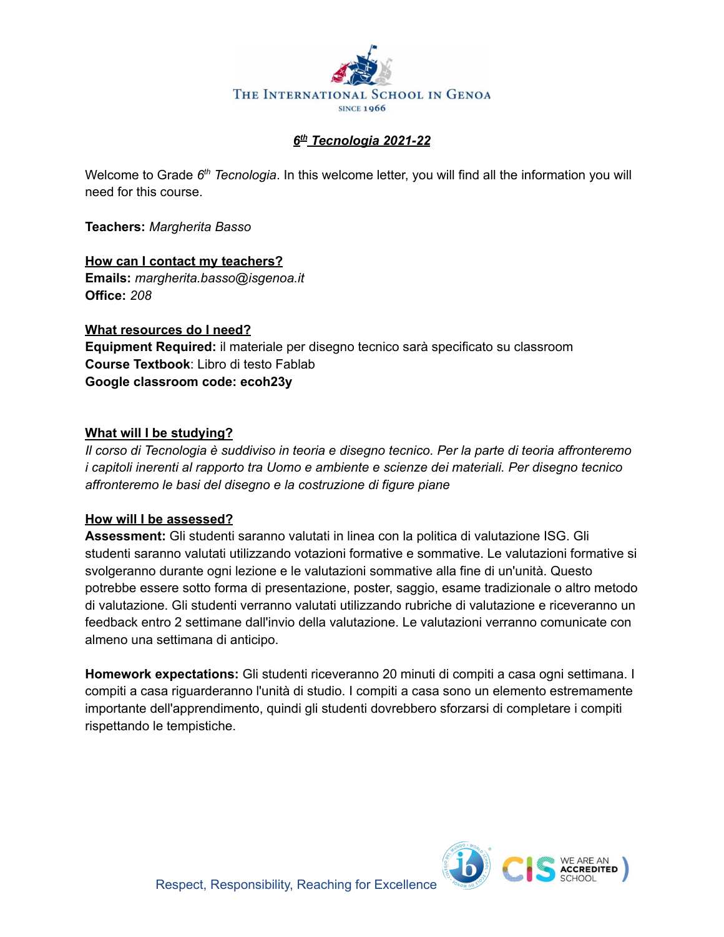

## *6 th Tecnologia 2021-22*

Welcome to Grade 6<sup>th</sup> Tecnologia. In this welcome letter, you will find all the information you will need for this course.

**Teachers:** *Margherita Basso*

**How can I contact my teachers? Emails:** *margherita.basso@isgenoa.it* **Office:** *208*

**What resources do I need? Equipment Required:** il materiale per disegno tecnico sarà specificato su classroom **Course Textbook**: Libro di testo Fablab **Google classroom code: ecoh23y**

## **What will I be studying?**

*Il corso di Tecnologia è suddiviso in teoria e disegno tecnico. Per la parte di teoria affronteremo i capitoli inerenti al rapporto tra Uomo e ambiente e scienze dei materiali. Per disegno tecnico affronteremo le basi del disegno e la costruzione di figure piane*

## **How will I be assessed?**

**Assessment:** Gli studenti saranno valutati in linea con la politica di valutazione ISG. Gli studenti saranno valutati utilizzando votazioni formative e sommative. Le valutazioni formative si svolgeranno durante ogni lezione e le valutazioni sommative alla fine di un'unità. Questo potrebbe essere sotto forma di presentazione, poster, saggio, esame tradizionale o altro metodo di valutazione. Gli studenti verranno valutati utilizzando rubriche di valutazione e riceveranno un feedback entro 2 settimane dall'invio della valutazione. Le valutazioni verranno comunicate con almeno una settimana di anticipo.

**Homework expectations:** Gli studenti riceveranno 20 minuti di compiti a casa ogni settimana. I compiti a casa riguarderanno l'unità di studio. I compiti a casa sono un elemento estremamente importante dell'apprendimento, quindi gli studenti dovrebbero sforzarsi di completare i compiti rispettando le tempistiche.

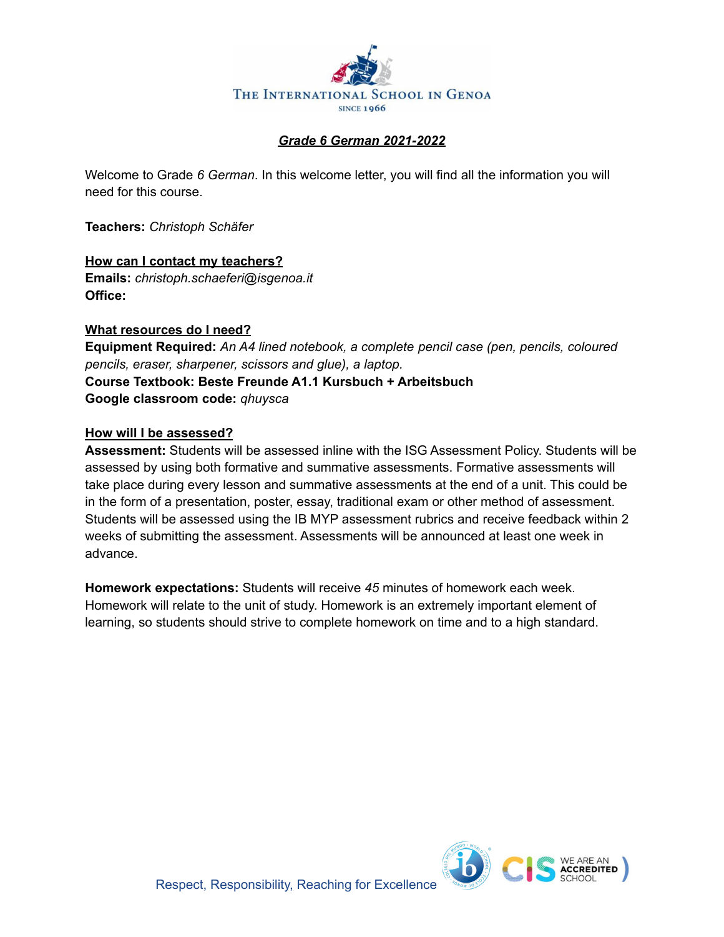

## *Grade 6 German 2021-2022*

Welcome to Grade *6 German*. In this welcome letter, you will find all the information you will need for this course.

**Teachers:** *Christoph Schäfer*

**How can I contact my teachers? Emails:** *christoph.schaeferi@isgenoa.it* **Office:**

### **What resources do I need?**

**Equipment Required:** *An A4 lined notebook, a complete pencil case (pen, pencils, coloured pencils, eraser, sharpener, scissors and glue), a laptop.* **Course Textbook: Beste Freunde A1.1 Kursbuch + Arbeitsbuch Google classroom code:** *qhuysca*

### **How will I be assessed?**

**Assessment:** Students will be assessed inline with the ISG Assessment Policy. Students will be assessed by using both formative and summative assessments. Formative assessments will take place during every lesson and summative assessments at the end of a unit. This could be in the form of a presentation, poster, essay, traditional exam or other method of assessment. Students will be assessed using the IB MYP assessment rubrics and receive feedback within 2 weeks of submitting the assessment. Assessments will be announced at least one week in advance.

**Homework expectations:** Students will receive *45* minutes of homework each week. Homework will relate to the unit of study. Homework is an extremely important element of learning, so students should strive to complete homework on time and to a high standard.

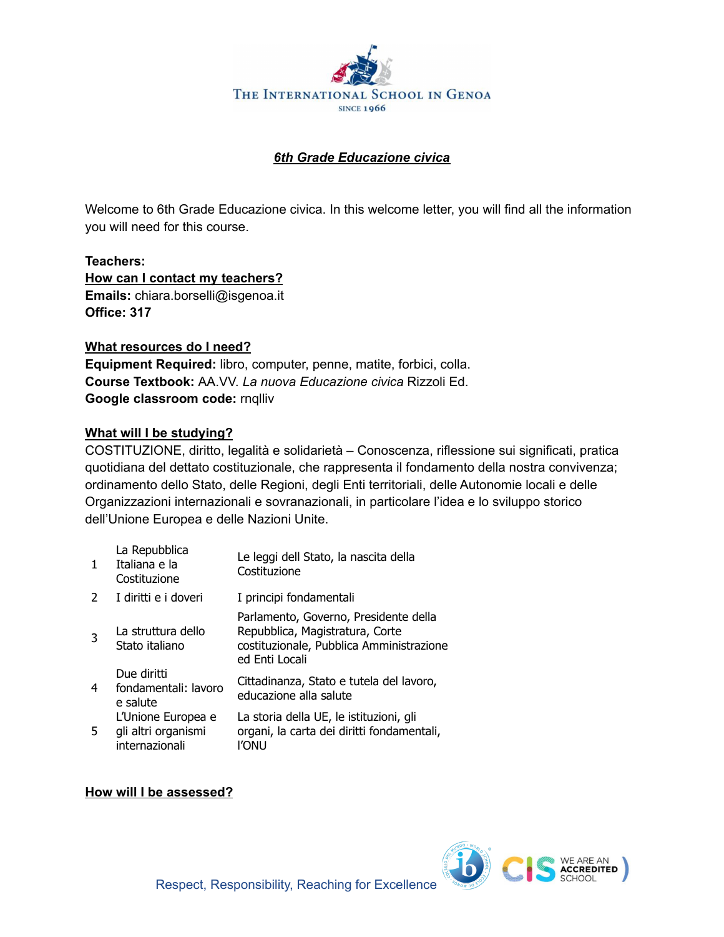

## *6th Grade Educazione civica*

Welcome to 6th Grade Educazione civica. In this welcome letter, you will find all the information you will need for this course.

**Teachers: How can I contact my teachers? Emails:** chiara.borselli@isgenoa.it **Office: 317**

## **What resources do I need?**

**Equipment Required:** libro, computer, penne, matite, forbici, colla. **Course Textbook:** AA.VV. *La nuova Educazione civica* Rizzoli Ed. **Google classroom code:** rnqlliv

## **What will I be studying?**

COSTITUZIONE, diritto, legalità e solidarietà – Conoscenza, riflessione sui significati, pratica quotidiana del dettato costituzionale, che rappresenta il fondamento della nostra convivenza; ordinamento dello Stato, delle Regioni, degli Enti territoriali, delle Autonomie locali e delle Organizzazioni internazionali e sovranazionali, in particolare l'idea e lo sviluppo storico dell'Unione Europea e delle Nazioni Unite.

| $\mathbf{1}$   | La Repubblica<br>Italiana e la<br>Costituzione              | Le leggi dell Stato, la nascita della<br>Costituzione                                                                                  |
|----------------|-------------------------------------------------------------|----------------------------------------------------------------------------------------------------------------------------------------|
| $\overline{2}$ | I diritti e i doveri                                        | I principi fondamentali                                                                                                                |
| 3              | La struttura dello<br>Stato italiano                        | Parlamento, Governo, Presidente della<br>Repubblica, Magistratura, Corte<br>costituzionale, Pubblica Amministrazione<br>ed Enti Locali |
| 4              | Due diritti<br>fondamentali: lavoro<br>e salute             | Cittadinanza, Stato e tutela del lavoro,<br>educazione alla salute                                                                     |
| 5.             | L'Unione Europea e<br>gli altri organismi<br>internazionali | La storia della UE, le istituzioni, gli<br>organi, la carta dei diritti fondamentali,<br>l'onu                                         |

## **How will I be assessed?**

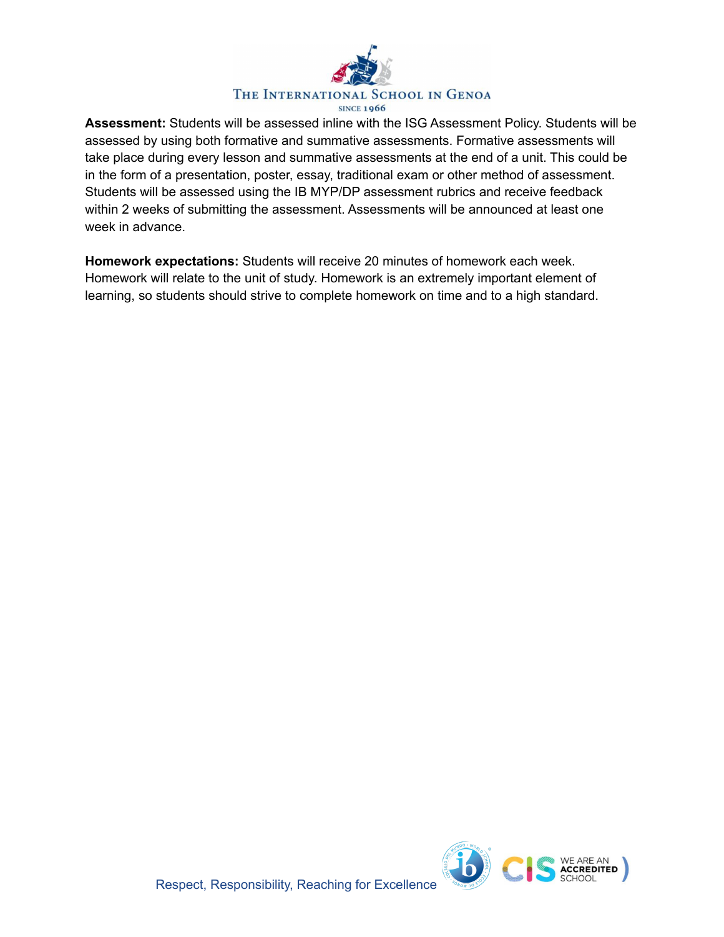

**Assessment:** Students will be assessed inline with the ISG Assessment Policy. Students will be assessed by using both formative and summative assessments. Formative assessments will take place during every lesson and summative assessments at the end of a unit. This could be in the form of a presentation, poster, essay, traditional exam or other method of assessment. Students will be assessed using the IB MYP/DP assessment rubrics and receive feedback within 2 weeks of submitting the assessment. Assessments will be announced at least one week in advance.

**Homework expectations:** Students will receive 20 minutes of homework each week. Homework will relate to the unit of study. Homework is an extremely important element of learning, so students should strive to complete homework on time and to a high standard.

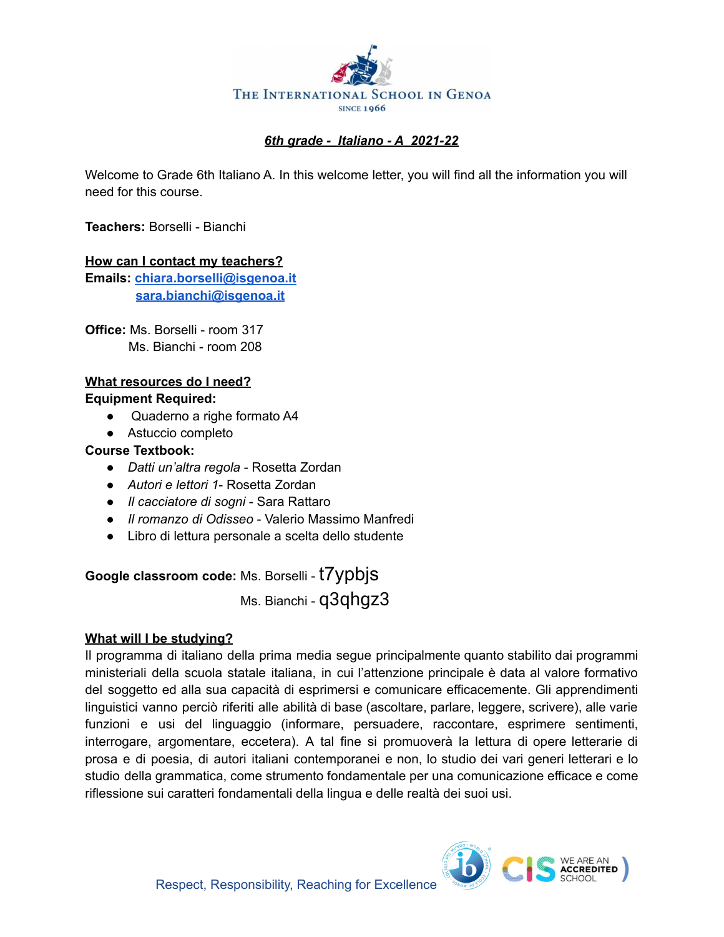

## *6th grade - Italiano - A 2021-22*

Welcome to Grade 6th Italiano A. In this welcome letter, you will find all the information you will need for this course.

**Teachers:** Borselli - Bianchi

### **How can I contact my teachers?**

**Emails: [chiara.borselli@isgenoa.it](mailto:chiara.borselli@isgenoa.it) [sara.bianchi@isgenoa.it](mailto:sara.bianchi@isgenoa.it)**

**Office:** Ms. Borselli - room 317 Ms. Bianchi - room 208

## **What resources do I need?**

### **Equipment Required:**

- Quaderno a righe formato A4
- Astuccio completo

## **Course Textbook:**

- *Datti un'altra regola* Rosetta Zordan
- *Autori e lettori 1* Rosetta Zordan
- *Il cacciatore di sogni* Sara Rattaro
- *Il romanzo di Odisseo* Valerio Massimo Manfredi
- Libro di lettura personale a scelta dello studente

## **Google classroom code:** Ms. Borselli - t7ypbjs

Ms. Bianchi - q3qhgz3

## **What will I be studying?**

Il programma di italiano della prima media segue principalmente quanto stabilito dai programmi ministeriali della scuola statale italiana, in cui l'attenzione principale è data al valore formativo del soggetto ed alla sua capacità di esprimersi e comunicare efficacemente. Gli apprendimenti linguistici vanno perciò riferiti alle abilità di base (ascoltare, parlare, leggere, scrivere), alle varie funzioni e usi del linguaggio (informare, persuadere, raccontare, esprimere sentimenti, interrogare, argomentare, eccetera). A tal fine si promuoverà la lettura di opere letterarie di prosa e di poesia, di autori italiani contemporanei e non, lo studio dei vari generi letterari e lo studio della grammatica, come strumento fondamentale per una comunicazione efficace e come riflessione sui caratteri fondamentali della lingua e delle realtà dei suoi usi.

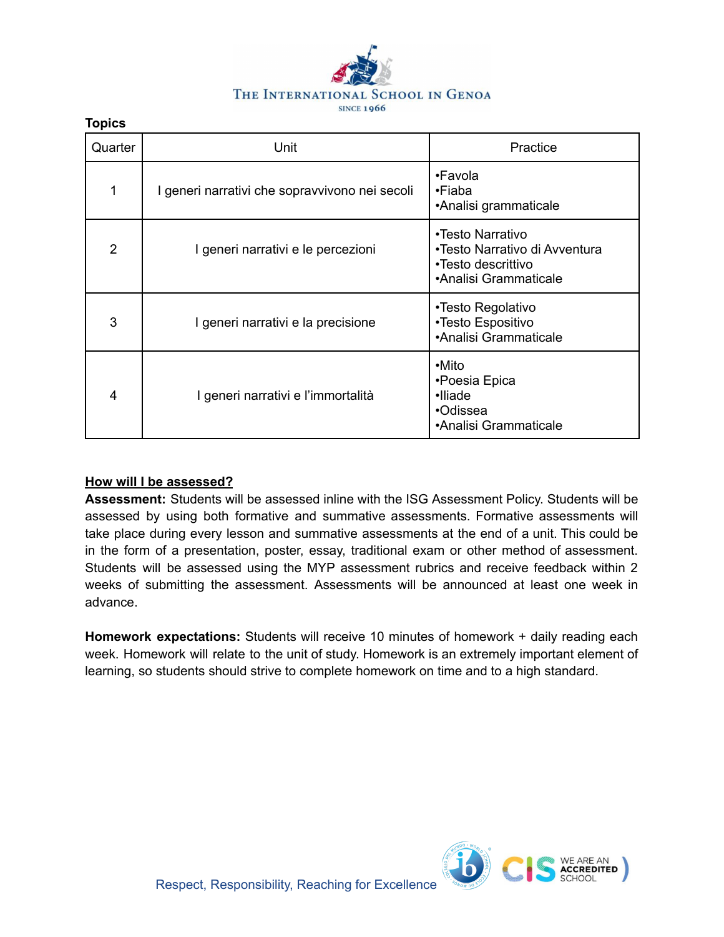

## Quarter | Contractive Unit Contractive Practice Number 2016 1 I generi narrativi che sopravvivono nei secoli •Favola •Fiaba •Analisi grammaticale 2 | Igeneri narrativi e le percezioni •Testo Narrativo •Testo Narrativo di Avventura •Testo descrittivo •Analisi Grammaticale 3 I generi narrativi e la precisione •Testo Regolativo •Testo Espositivo •Analisi Grammaticale 4 I generi narrativi e l'immortalità •Mito •Poesia Epica •Iliade •Odissea •Analisi Grammaticale

## **How will I be assessed?**

**Topics**

**Assessment:** Students will be assessed inline with the ISG Assessment Policy. Students will be assessed by using both formative and summative assessments. Formative assessments will take place during every lesson and summative assessments at the end of a unit. This could be in the form of a presentation, poster, essay, traditional exam or other method of assessment. Students will be assessed using the MYP assessment rubrics and receive feedback within 2 weeks of submitting the assessment. Assessments will be announced at least one week in advance.

**Homework expectations:** Students will receive 10 minutes of homework + daily reading each week. Homework will relate to the unit of study. Homework is an extremely important element of learning, so students should strive to complete homework on time and to a high standard.

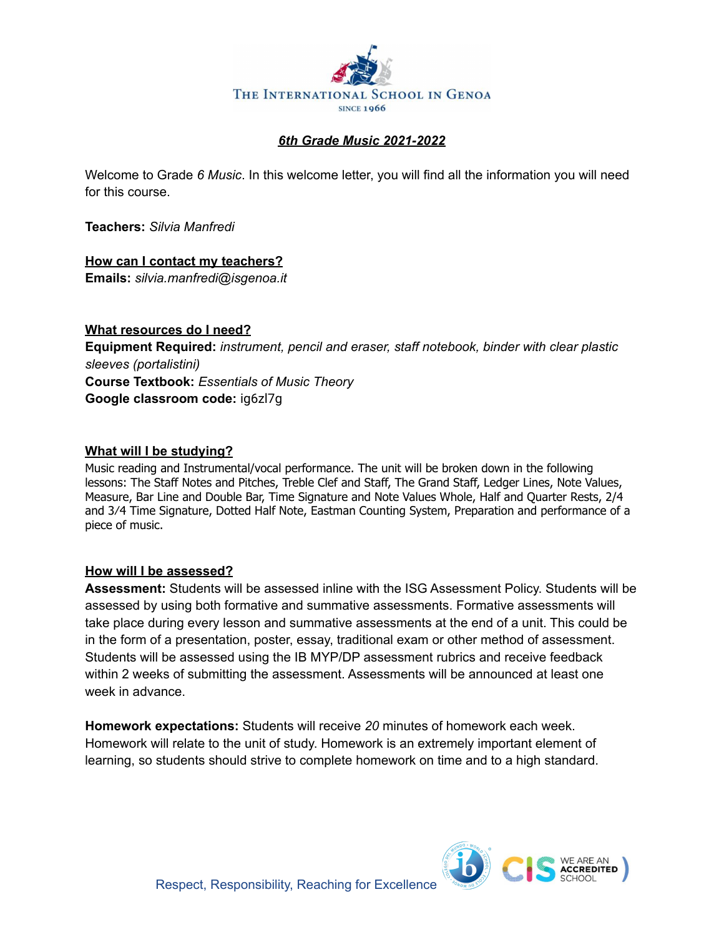

## *6th Grade Music 2021-2022*

Welcome to Grade *6 Music*. In this welcome letter, you will find all the information you will need for this course.

**Teachers:** *Silvia Manfredi*

## **How can I contact my teachers?**

**Emails:** *silvia.manfredi@isgenoa.it*

## **What resources do I need?**

**Equipment Required:** *instrument, pencil and eraser, staff notebook, binder with clear plastic sleeves (portalistini)* **Course Textbook:** *Essentials of Music Theory* **Google classroom code:** ig6zl7g**ig6zl7g**

## **What will I be studying?**

Music reading and Instrumental/vocal performance. The unit will be broken down in the following lessons: The Staff Notes and Pitches, Treble Clef and Staff, The Grand Staff, Ledger Lines, Note Values, Measure, Bar Line and Double Bar, Time Signature and Note Values Whole, Half and Quarter Rests, 2/4 and 3⁄4 Time Signature, Dotted Half Note, Eastman Counting System, Preparation and performance of a piece of music.

## **How will I be assessed?**

**Assessment:** Students will be assessed inline with the ISG Assessment Policy. Students will be assessed by using both formative and summative assessments. Formative assessments will take place during every lesson and summative assessments at the end of a unit. This could be in the form of a presentation, poster, essay, traditional exam or other method of assessment. Students will be assessed using the IB MYP/DP assessment rubrics and receive feedback within 2 weeks of submitting the assessment. Assessments will be announced at least one week in advance.

**Homework expectations:** Students will receive *20* minutes of homework each week. Homework will relate to the unit of study. Homework is an extremely important element of learning, so students should strive to complete homework on time and to a high standard.

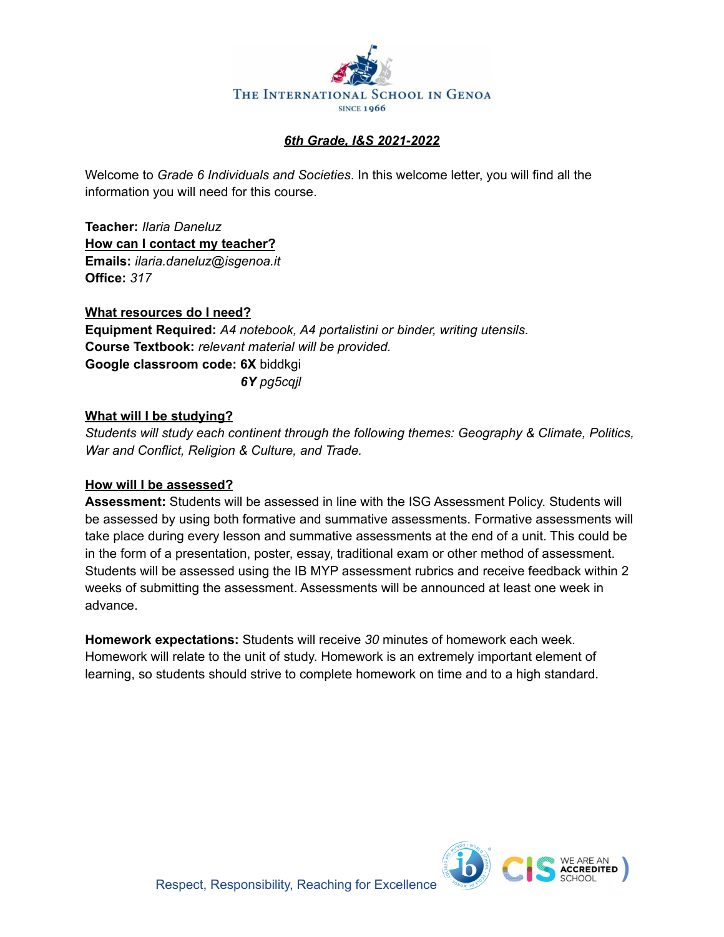

## *6th Grade, I&S 2021-2022*

Welcome to *Grade 6 Individuals and Societies*. In this welcome letter, you will find all the information you will need for this course.

**Teacher:** *Ilaria Daneluz* **How can I contact my teacher? Emails:** *ilaria.daneluz@isgenoa.it* **Office:** *317*

**What resources do I need? Equipment Required:** *A4 notebook, A4 portalistini or binder, writing utensils.* **Course Textbook:** *relevant material will be provided.* **Google classroom code: 6X** biddkgi *6Y pg5cqjl*

### **What will I be studying?**

*Students will study each continent through the following themes: Geography & Climate, Politics, War and Conflict, Religion & Culture, and Trade.*

## **How will I be assessed?**

**Assessment:** Students will be assessed in line with the ISG Assessment Policy. Students will be assessed by using both formative and summative assessments. Formative assessments will take place during every lesson and summative assessments at the end of a unit. This could be in the form of a presentation, poster, essay, traditional exam or other method of assessment. Students will be assessed using the IB MYP assessment rubrics and receive feedback within 2 weeks of submitting the assessment. Assessments will be announced at least one week in advance.

**Homework expectations:** Students will receive *30* minutes of homework each week. Homework will relate to the unit of study. Homework is an extremely important element of learning, so students should strive to complete homework on time and to a high standard.

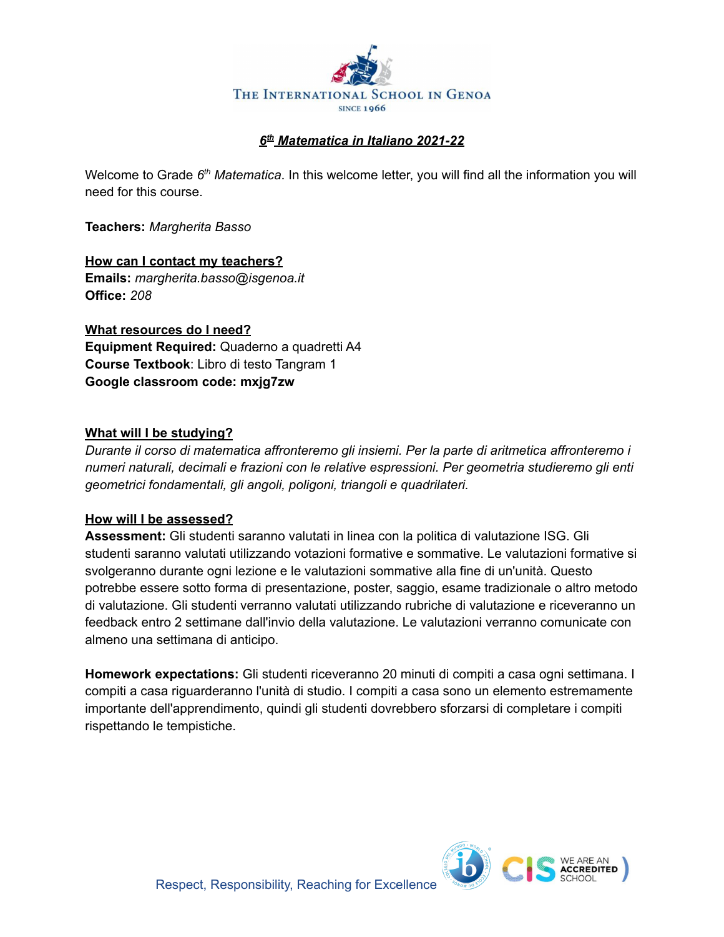

## *6 th Matematica in Italiano 2021-22*

Welcome to Grade 6<sup>th</sup> Matematica. In this welcome letter, you will find all the information you will need for this course.

**Teachers:** *Margherita Basso*

**How can I contact my teachers? Emails:** *margherita.basso@isgenoa.it* **Office:** *208*

**What resources do I need? Equipment Required:** Quaderno a quadretti A4 **Course Textbook**: Libro di testo Tangram 1 **Google classroom code: mxjg7zw**

## **What will I be studying?**

*Durante il corso di matematica affronteremo gli insiemi. Per la parte di aritmetica affronteremo i numeri naturali, decimali e frazioni con le relative espressioni. Per geometria studieremo gli enti geometrici fondamentali, gli angoli, poligoni, triangoli e quadrilateri.*

## **How will I be assessed?**

**Assessment:** Gli studenti saranno valutati in linea con la politica di valutazione ISG. Gli studenti saranno valutati utilizzando votazioni formative e sommative. Le valutazioni formative si svolgeranno durante ogni lezione e le valutazioni sommative alla fine di un'unità. Questo potrebbe essere sotto forma di presentazione, poster, saggio, esame tradizionale o altro metodo di valutazione. Gli studenti verranno valutati utilizzando rubriche di valutazione e riceveranno un feedback entro 2 settimane dall'invio della valutazione. Le valutazioni verranno comunicate con almeno una settimana di anticipo.

**Homework expectations:** Gli studenti riceveranno 20 minuti di compiti a casa ogni settimana. I compiti a casa riguarderanno l'unità di studio. I compiti a casa sono un elemento estremamente importante dell'apprendimento, quindi gli studenti dovrebbero sforzarsi di completare i compiti rispettando le tempistiche.

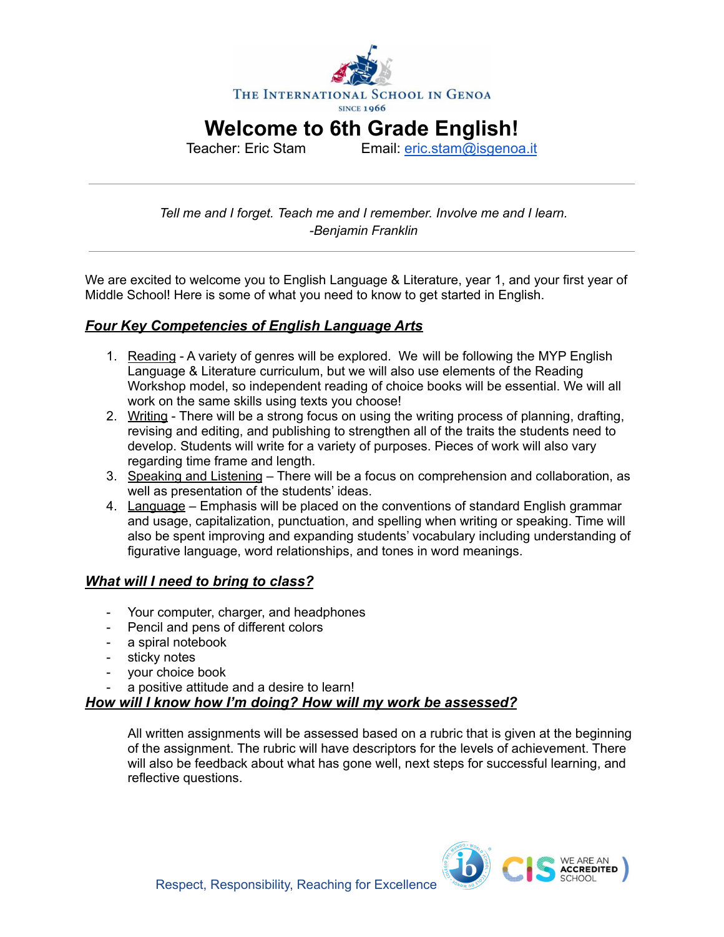

**Welcome to 6th Grade English!**

Teacher: Eric Stam Email: [eric.stam@isgenoa.it](mailto:eric.stam@isgenoa.it)

*Tell me and I forget. Teach me and I remember. Involve me and I learn. -Benjamin Franklin*

We are excited to welcome you to English Language & Literature, year 1, and your first year of Middle School! Here is some of what you need to know to get started in English.

## *Four Key Competencies of English Language Arts*

- 1. Reading A variety of genres will be explored. We will be following the MYP English Language & Literature curriculum, but we will also use elements of the Reading Workshop model, so independent reading of choice books will be essential. We will all work on the same skills using texts you choose!
- 2. Writing There will be a strong focus on using the writing process of planning, drafting, revising and editing, and publishing to strengthen all of the traits the students need to develop. Students will write for a variety of purposes. Pieces of work will also vary regarding time frame and length.
- 3. Speaking and Listening There will be a focus on comprehension and collaboration, as well as presentation of the students' ideas.
- 4. Language Emphasis will be placed on the conventions of standard English grammar and usage, capitalization, punctuation, and spelling when writing or speaking. Time will also be spent improving and expanding students' vocabulary including understanding of figurative language, word relationships, and tones in word meanings.

## *What will I need to bring to class?*

- Your computer, charger, and headphones
- Pencil and pens of different colors
- a spiral notebook
- sticky notes
- your choice book
- a positive attitude and a desire to learn!

## *How will I know how I'm doing? How will my work be assessed?*

All written assignments will be assessed based on a rubric that is given at the beginning of the assignment. The rubric will have descriptors for the levels of achievement. There will also be feedback about what has gone well, next steps for successful learning, and reflective questions.

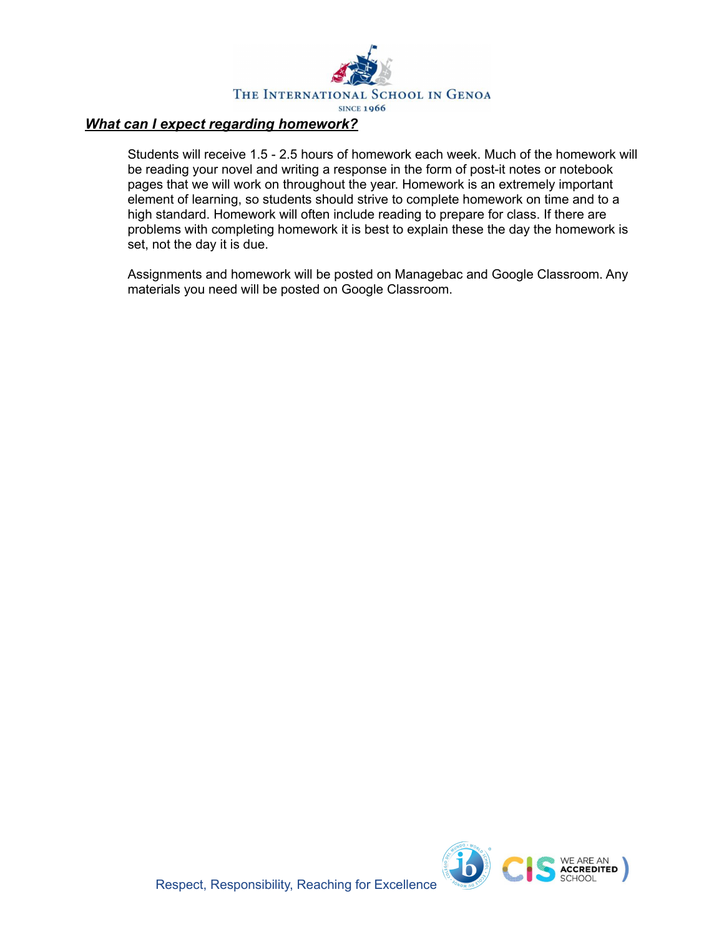

## *What can I expect regarding homework?*

Students will receive 1.5 - 2.5 hours of homework each week. Much of the homework will be reading your novel and writing a response in the form of post-it notes or notebook pages that we will work on throughout the year. Homework is an extremely important element of learning, so students should strive to complete homework on time and to a high standard. Homework will often include reading to prepare for class. If there are problems with completing homework it is best to explain these the day the homework is set, not the day it is due.

Assignments and homework will be posted on Managebac and Google Classroom. Any materials you need will be posted on Google Classroom.

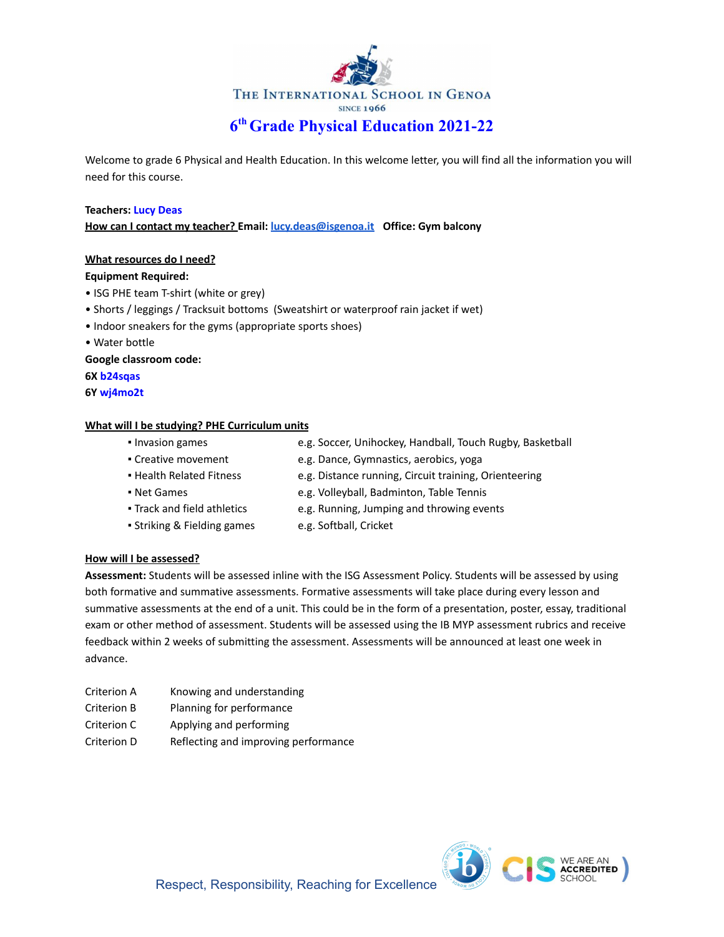

Welcome to grade 6 Physical and Health Education. In this welcome letter, you will find all the information you will need for this course.

#### **Teachers: Lucy Deas**

**How can I contact my teacher? Email: [lucy.deas@isgenoa.it](mailto:lucy.deas@isgenoa.it) Office: Gym balcony**

#### **What resources do I need?**

#### **Equipment Required:**

- ISG PHE team T-shirt (white or grey)
- Shorts / leggings / Tracksuit bottoms (Sweatshirt or waterproof rain jacket if wet)
- Indoor sneakers for the gyms (appropriate sports shoes)
- Water bottle

**Google classroom code:**

**6X b24sqas**

**6Y wj4mo2t**

#### **What will I be studying? PHE Curriculum units**

- Invasion games e.g. Soccer, Unihockey, Handball, Touch Rugby, Basketball
- Creative movement e.g. Dance, Gymnastics, aerobics, yoga
- Health Related Fitness e.g. Distance running, Circuit training, Orienteering
- Net Games e.g. Volleyball, Badminton, Table Tennis
- Track and field athletics e.g. Running, Jumping and throwing events
- Striking & Fielding games e.g. Softball, Cricket
- 

#### **How will I be assessed?**

**Assessment:** Students will be assessed inline with the ISG Assessment Policy. Students will be assessed by using both formative and summative assessments. Formative assessments will take place during every lesson and summative assessments at the end of a unit. This could be in the form of a presentation, poster, essay, traditional exam or other method of assessment. Students will be assessed using the IB MYP assessment rubrics and receive feedback within 2 weeks of submitting the assessment. Assessments will be announced at least one week in advance.

- Criterion A Knowing and understanding
- Criterion B Planning for performance
- Criterion C Applying and performing
- Criterion D Reflecting and improving performance

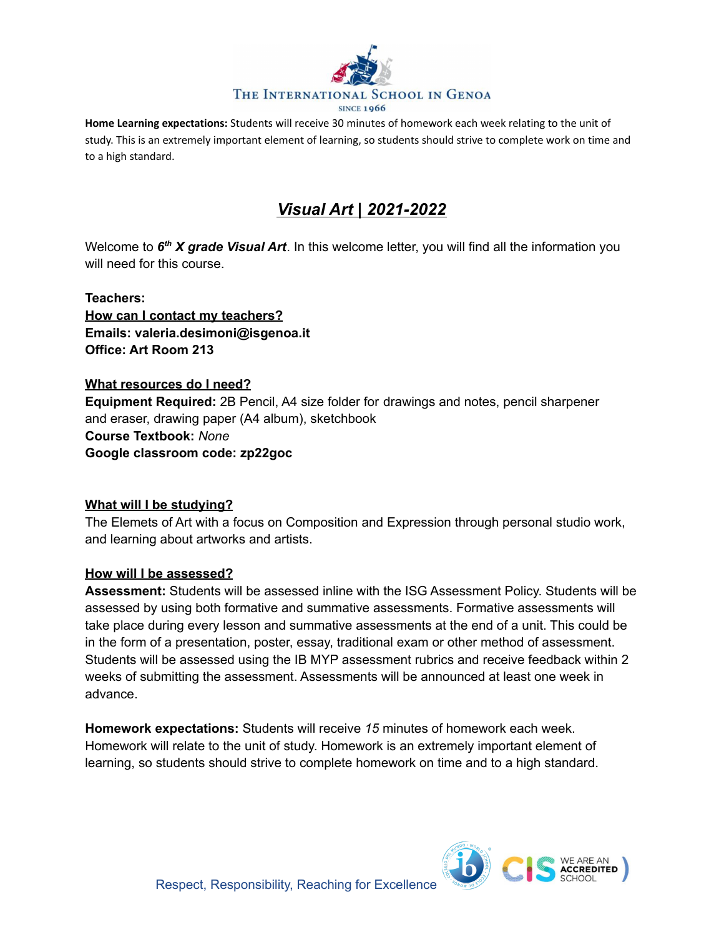

**Home Learning expectations:** Students will receive 30 minutes of homework each week relating to the unit of study. This is an extremely important element of learning, so students should strive to complete work on time and to a high standard.

# *Visual Art | 2021-2022*

Welcome to *6 th X grade Visual Art*. In this welcome letter, you will find all the information you will need for this course.

## **Teachers:**

**How can I contact my teachers? Emails: valeria.desimoni@isgenoa.it Office: Art Room 213**

## **What resources do I need?**

**Equipment Required:** 2B Pencil, A4 size folder for drawings and notes, pencil sharpener and eraser, drawing paper (A4 album), sketchbook **Course Textbook:** *None* **Google classroom code: zp22goc**

## **What will I be studying?**

The Elemets of Art with a focus on Composition and Expression through personal studio work, and learning about artworks and artists.

## **How will I be assessed?**

**Assessment:** Students will be assessed inline with the ISG Assessment Policy. Students will be assessed by using both formative and summative assessments. Formative assessments will take place during every lesson and summative assessments at the end of a unit. This could be in the form of a presentation, poster, essay, traditional exam or other method of assessment. Students will be assessed using the IB MYP assessment rubrics and receive feedback within 2 weeks of submitting the assessment. Assessments will be announced at least one week in advance.

**Homework expectations:** Students will receive *15* minutes of homework each week. Homework will relate to the unit of study. Homework is an extremely important element of learning, so students should strive to complete homework on time and to a high standard.

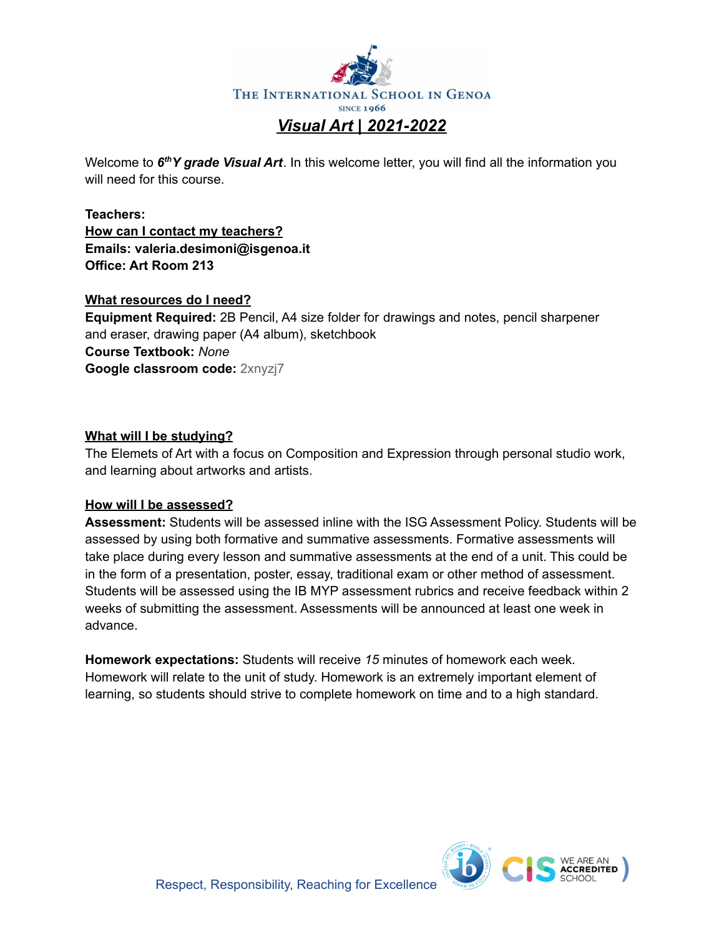

Welcome to *6 thY grade Visual Art*. In this welcome letter, you will find all the information you will need for this course.

**Teachers: How can I contact my teachers? Emails: valeria.desimoni@isgenoa.it Office: Art Room 213**

## **What resources do I need?**

**Equipment Required:** 2B Pencil, A4 size folder for drawings and notes, pencil sharpener and eraser, drawing paper (A4 album), sketchbook **Course Textbook:** *None* **Google classroom code:** 2xnyzj7

## **What will I be studying?**

The Elemets of Art with a focus on Composition and Expression through personal studio work, and learning about artworks and artists.

## **How will I be assessed?**

**Assessment:** Students will be assessed inline with the ISG Assessment Policy. Students will be assessed by using both formative and summative assessments. Formative assessments will take place during every lesson and summative assessments at the end of a unit. This could be in the form of a presentation, poster, essay, traditional exam or other method of assessment. Students will be assessed using the IB MYP assessment rubrics and receive feedback within 2 weeks of submitting the assessment. Assessments will be announced at least one week in advance.

**Homework expectations:** Students will receive *15* minutes of homework each week. Homework will relate to the unit of study. Homework is an extremely important element of learning, so students should strive to complete homework on time and to a high standard.

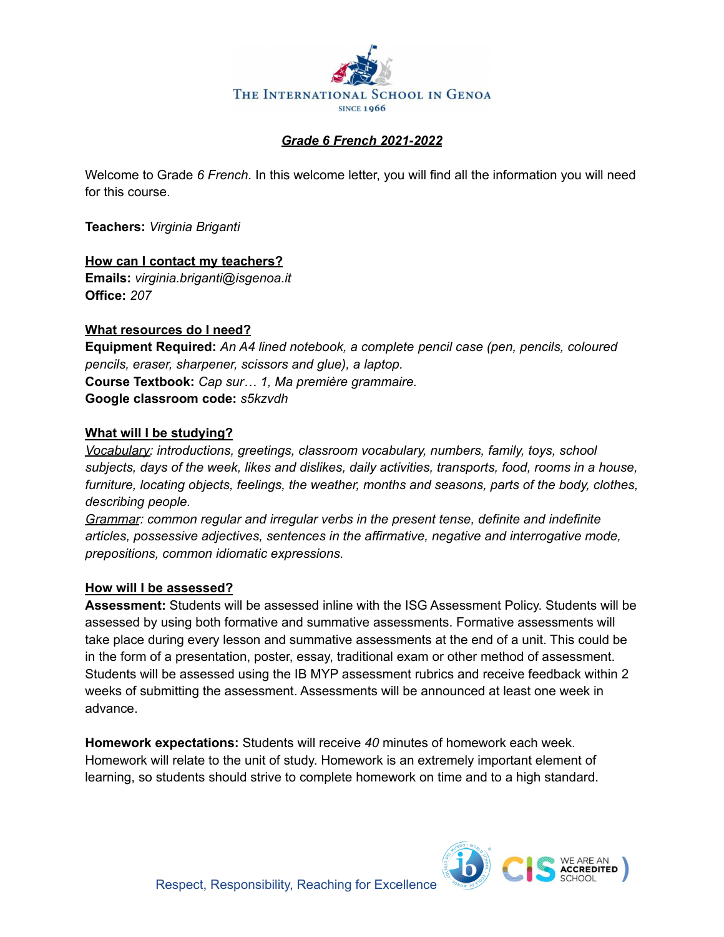

## *Grade 6 French 2021-2022*

Welcome to Grade *6 French*. In this welcome letter, you will find all the information you will need for this course.

**Teachers:** *Virginia Briganti*

**How can I contact my teachers? Emails:** *virginia.briganti@isgenoa.it* **Office:** *207*

## **What resources do I need?**

**Equipment Required:** *An A4 lined notebook, a complete pencil case (pen, pencils, coloured pencils, eraser, sharpener, scissors and glue), a laptop.* **Course Textbook:** *Cap sur… 1, Ma première grammaire.* **Google classroom code:** *s5kzvdh*

## **What will I be studying?**

*Vocabulary: introductions, greetings, classroom vocabulary, numbers, family, toys, school subjects, days of the week, likes and dislikes, daily activities, transports, food, rooms in a house, furniture, locating objects, feelings, the weather, months and seasons, parts of the body, clothes, describing people.*

*Grammar: common regular and irregular verbs in the present tense, definite and indefinite articles, possessive adjectives, sentences in the affirmative, negative and interrogative mode, prepositions, common idiomatic expressions.*

## **How will I be assessed?**

**Assessment:** Students will be assessed inline with the ISG Assessment Policy. Students will be assessed by using both formative and summative assessments. Formative assessments will take place during every lesson and summative assessments at the end of a unit. This could be in the form of a presentation, poster, essay, traditional exam or other method of assessment. Students will be assessed using the IB MYP assessment rubrics and receive feedback within 2 weeks of submitting the assessment. Assessments will be announced at least one week in advance.

**Homework expectations:** Students will receive *40* minutes of homework each week. Homework will relate to the unit of study. Homework is an extremely important element of learning, so students should strive to complete homework on time and to a high standard.

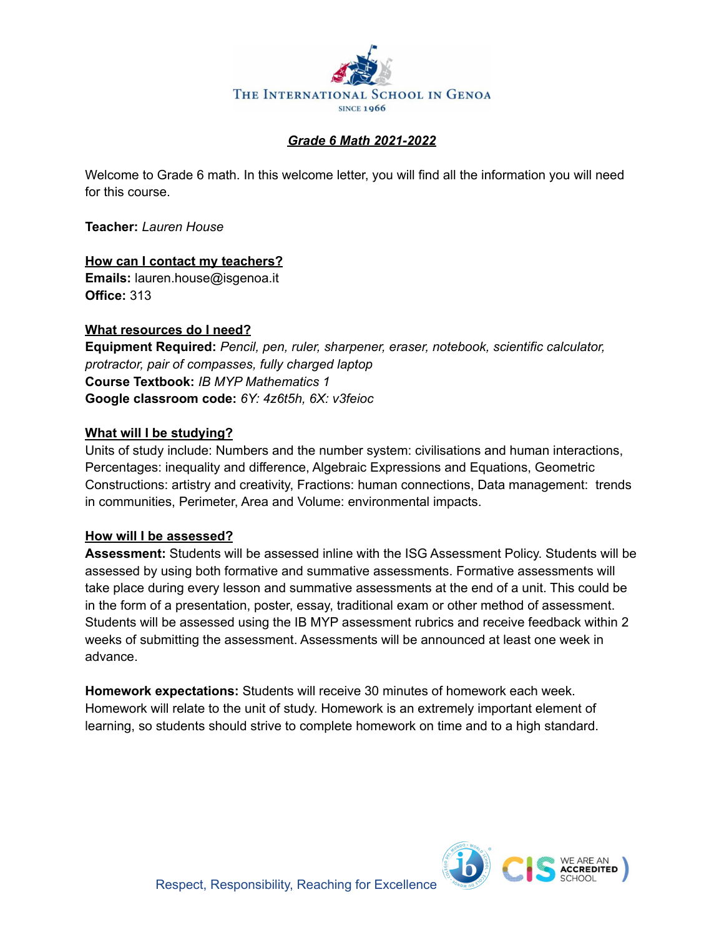

## *Grade 6 Math 2021-2022*

Welcome to Grade 6 math. In this welcome letter, you will find all the information you will need for this course.

**Teacher:** *Lauren House*

**How can I contact my teachers? Emails:** lauren.house@isgenoa.it **Office:** 313

## **What resources do I need?**

**Equipment Required:** *Pencil, pen, ruler, sharpener, eraser, notebook, scientific calculator, protractor, pair of compasses, fully charged laptop* **Course Textbook:** *IB MYP Mathematics 1* **Google classroom code:** *6Y: 4z6t5h, 6X: v3feioc*

## **What will I be studying?**

Units of study include: Numbers and the number system: civilisations and human interactions, Percentages: inequality and difference, Algebraic Expressions and Equations, Geometric Constructions: artistry and creativity, Fractions: human connections, Data management: trends in communities, Perimeter, Area and Volume: environmental impacts.

## **How will I be assessed?**

**Assessment:** Students will be assessed inline with the ISG Assessment Policy. Students will be assessed by using both formative and summative assessments. Formative assessments will take place during every lesson and summative assessments at the end of a unit. This could be in the form of a presentation, poster, essay, traditional exam or other method of assessment. Students will be assessed using the IB MYP assessment rubrics and receive feedback within 2 weeks of submitting the assessment. Assessments will be announced at least one week in advance.

**Homework expectations:** Students will receive 30 minutes of homework each week. Homework will relate to the unit of study. Homework is an extremely important element of learning, so students should strive to complete homework on time and to a high standard.

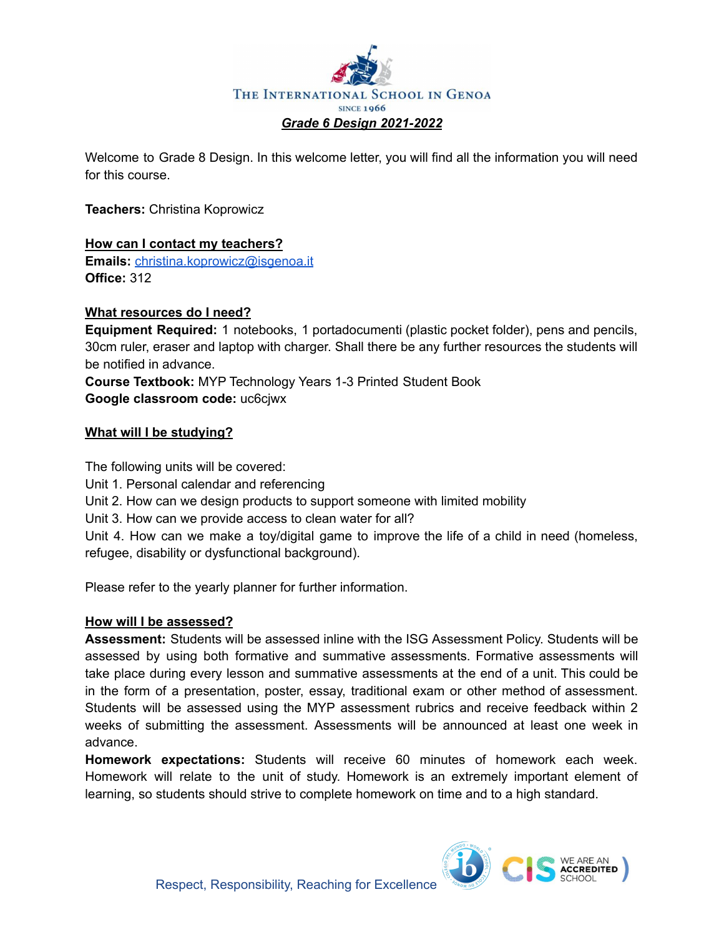

Welcome to Grade 8 Design. In this welcome letter, you will find all the information you will need for this course.

**Teachers:** Christina Koprowicz

## **How can I contact my teachers?**

**Emails:** [christina.koprowicz@isgenoa.it](mailto:christina.koprowicz@isgenoa.it) **Office:** 312

## **What resources do I need?**

**Equipment Required:** 1 notebooks, 1 portadocumenti (plastic pocket folder), pens and pencils, 30cm ruler, eraser and laptop with charger. Shall there be any further resources the students will be notified in advance.

**Course Textbook:** MYP Technology Years 1-3 Printed Student Book **Google classroom code:** uc6cjwx

## **What will I be studying?**

The following units will be covered:

Unit 1. Personal calendar and referencing

Unit 2. How can we design products to support someone with limited mobility

Unit 3. How can we provide access to clean water for all?

Unit 4. How can we make a toy/digital game to improve the life of a child in need (homeless, refugee, disability or dysfunctional background).

Please refer to the yearly planner for further information.

## **How will I be assessed?**

**Assessment:** Students will be assessed inline with the ISG Assessment Policy. Students will be assessed by using both formative and summative assessments. Formative assessments will take place during every lesson and summative assessments at the end of a unit. This could be in the form of a presentation, poster, essay, traditional exam or other method of assessment. Students will be assessed using the MYP assessment rubrics and receive feedback within 2 weeks of submitting the assessment. Assessments will be announced at least one week in advance.

**Homework expectations:** Students will receive 60 minutes of homework each week. Homework will relate to the unit of study. Homework is an extremely important element of learning, so students should strive to complete homework on time and to a high standard.

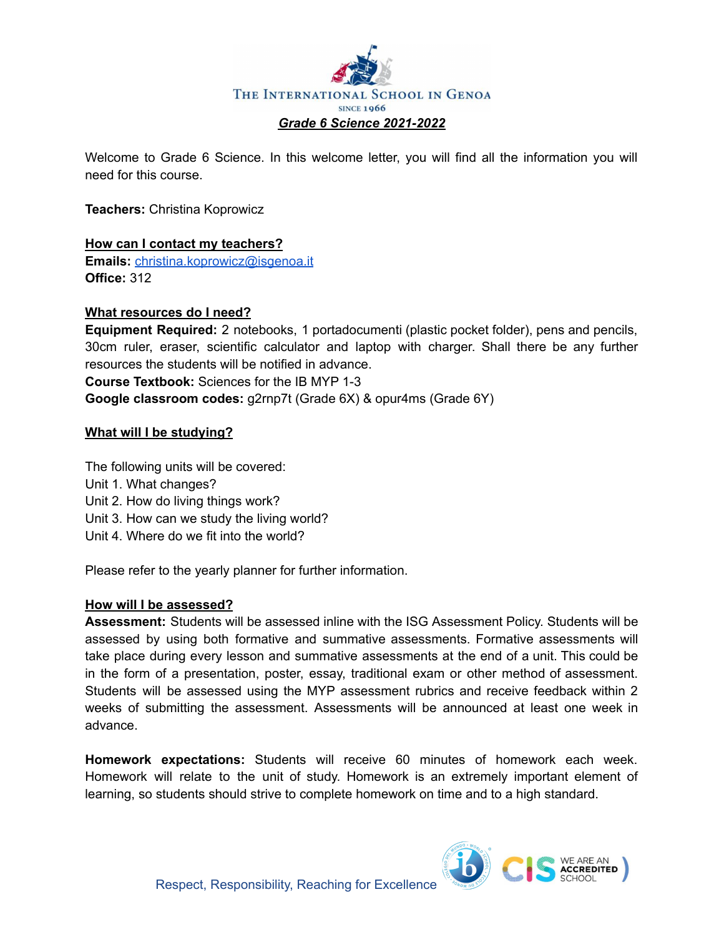

Welcome to Grade 6 Science. In this welcome letter, you will find all the information you will need for this course.

**Teachers:** Christina Koprowicz

### **How can I contact my teachers?**

**Emails:** [christina.koprowicz@isgenoa.it](mailto:christina.koprowicz@isgenoa.it) **Office:** 312

### **What resources do I need?**

**Equipment Required:** 2 notebooks, 1 portadocumenti (plastic pocket folder), pens and pencils, 30cm ruler, eraser, scientific calculator and laptop with charger. Shall there be any further resources the students will be notified in advance. **Course Textbook:** Sciences for the IB MYP 1-3

**Google classroom codes:** g2rnp7t (Grade 6X) & opur4ms (Grade 6Y)

## **What will I be studying?**

The following units will be covered: Unit 1. What changes? Unit 2. How do living things work? Unit 3. How can we study the living world? Unit 4. Where do we fit into the world?

Please refer to the yearly planner for further information.

## **How will I be assessed?**

**Assessment:** Students will be assessed inline with the ISG Assessment Policy. Students will be assessed by using both formative and summative assessments. Formative assessments will take place during every lesson and summative assessments at the end of a unit. This could be in the form of a presentation, poster, essay, traditional exam or other method of assessment. Students will be assessed using the MYP assessment rubrics and receive feedback within 2 weeks of submitting the assessment. Assessments will be announced at least one week in advance.

**Homework expectations:** Students will receive 60 minutes of homework each week. Homework will relate to the unit of study. Homework is an extremely important element of learning, so students should strive to complete homework on time and to a high standard.